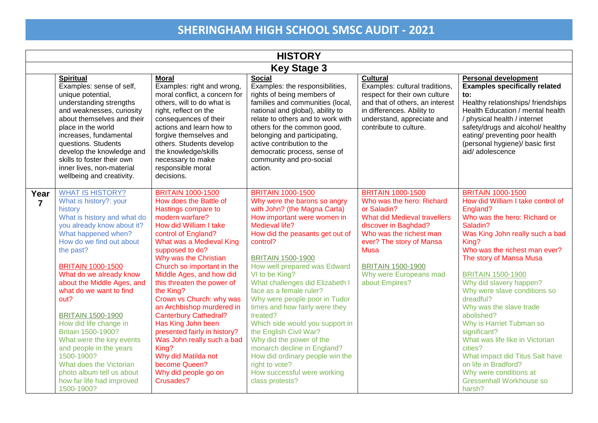|                        | <b>HISTORY</b>                                                                                                                                                                                                                                                                                                                                                                                                                                                                                                                                                        |                                                                                                                                                                                                                                                                                                                                                                                                                                                                                                                                                                                               |                                                                                                                                                                                                                                                                                                                                                                                                                                                                                                                                                                                                                                                    |                                                                                                                                                                                                                                                                            |                                                                                                                                                                                                                                                                                                                                                                                                                                                                                                                                                                                                        |  |
|------------------------|-----------------------------------------------------------------------------------------------------------------------------------------------------------------------------------------------------------------------------------------------------------------------------------------------------------------------------------------------------------------------------------------------------------------------------------------------------------------------------------------------------------------------------------------------------------------------|-----------------------------------------------------------------------------------------------------------------------------------------------------------------------------------------------------------------------------------------------------------------------------------------------------------------------------------------------------------------------------------------------------------------------------------------------------------------------------------------------------------------------------------------------------------------------------------------------|----------------------------------------------------------------------------------------------------------------------------------------------------------------------------------------------------------------------------------------------------------------------------------------------------------------------------------------------------------------------------------------------------------------------------------------------------------------------------------------------------------------------------------------------------------------------------------------------------------------------------------------------------|----------------------------------------------------------------------------------------------------------------------------------------------------------------------------------------------------------------------------------------------------------------------------|--------------------------------------------------------------------------------------------------------------------------------------------------------------------------------------------------------------------------------------------------------------------------------------------------------------------------------------------------------------------------------------------------------------------------------------------------------------------------------------------------------------------------------------------------------------------------------------------------------|--|
|                        | <b>Key Stage 3</b>                                                                                                                                                                                                                                                                                                                                                                                                                                                                                                                                                    |                                                                                                                                                                                                                                                                                                                                                                                                                                                                                                                                                                                               |                                                                                                                                                                                                                                                                                                                                                                                                                                                                                                                                                                                                                                                    |                                                                                                                                                                                                                                                                            |                                                                                                                                                                                                                                                                                                                                                                                                                                                                                                                                                                                                        |  |
|                        | <b>Spiritual</b><br>Examples: sense of self,<br>unique potential,<br>understanding strengths<br>and weaknesses, curiosity<br>about themselves and their<br>place in the world<br>increases, fundamental<br>questions. Students<br>develop the knowledge and<br>skills to foster their own<br>inner lives, non-material<br>wellbeing and creativity.                                                                                                                                                                                                                   | <b>Moral</b><br>Examples: right and wrong,<br>moral conflict, a concern for<br>others, will to do what is<br>right, reflect on the<br>consequences of their<br>actions and learn how to<br>forgive themselves and<br>others. Students develop<br>the knowledge/skills<br>necessary to make<br>responsible moral<br>decisions.                                                                                                                                                                                                                                                                 | <b>Social</b><br>Examples: the responsibilities,<br>rights of being members of<br>families and communities (local,<br>national and global), ability to<br>relate to others and to work with<br>others for the common good,<br>belonging and participating,<br>active contribution to the<br>democratic process, sense of<br>community and pro-social<br>action.                                                                                                                                                                                                                                                                                    | <b>Cultural</b><br>Examples: cultural traditions,<br>respect for their own culture<br>and that of others, an interest<br>in differences. Ability to<br>understand, appreciate and<br>contribute to culture.                                                                | <b>Personal development</b><br><b>Examples specifically related</b><br>to:<br>Healthy relationships/friendships<br>Health Education / mental health<br>/ physical health / internet<br>safety/drugs and alcohol/ healthy<br>eating/ preventing poor health<br>(personal hygiene)/ basic first<br>aid/adolescence                                                                                                                                                                                                                                                                                       |  |
| Year<br>$\overline{7}$ | <b>WHAT IS HISTORY?</b><br>What is history?: your<br>history<br>What is history and what do<br>you already know about it?<br>What happened when?<br>How do we find out about<br>the past?<br><b>BRITAIN 1000-1500</b><br>What do we already know<br>about the Middle Ages, and<br>what do we want to find<br>out?<br><b>BRITAIN 1500-1900</b><br>How did life change in<br>Britain 1500-1900?<br>What were the key events<br>and people in the years<br>1500-1900?<br>What does the Victorian<br>photo album tell us about<br>how far life had improved<br>1500-1900? | <b>BRITAIN 1000-1500</b><br>How does the Battle of<br>Hastings compare to<br>modern warfare?<br>How did William I take<br>control of England?<br>What was a Medieval King<br>supposed to do?<br>Why was the Christian<br>Church so important in the<br>Middle Ages, and how did<br>this threaten the power of<br>the King?<br>Crown vs Church: why was<br>an Archbishop murdered in<br><b>Canterbury Cathedral?</b><br>Has King John been<br>presented fairly in history?<br>Was John really such a bad<br>King?<br>Why did Matilda not<br>become Queen?<br>Why did people go on<br>Crusades? | <b>BRITAIN 1000-1500</b><br>Why were the barons so angry<br>with John? (the Magna Carta)<br>How important were women in<br>Medieval life?<br>How did the peasants get out of<br>control?<br><b>BRITAIN 1500-1900</b><br>How well prepared was Edward<br>VI to be King?<br>What challenges did Elizabeth I<br>face as a female ruler?<br>Why were people poor in Tudor<br>times and how fairly were they<br>treated?<br>Which side would you support in<br>the English Civil War?<br>Why did the power of the<br>monarch decline in England?<br>How did ordinary people win the<br>right to vote?<br>How successful were working<br>class protests? | <b>BRITAIN 1000-1500</b><br>Who was the hero: Richard<br>or Saladin?<br>What did Medieval travellers<br>discover in Baghdad?<br>Who was the richest man<br>ever? The story of Mansa<br><b>Musa</b><br><b>BRITAIN 1500-1900</b><br>Why were Europeans mad<br>about Empires? | <b>BRITAIN 1000-1500</b><br>How did William I take control of<br>England?<br>Who was the hero: Richard or<br>Saladin?<br>Was King John really such a bad<br>King?<br>Who was the richest man ever?<br>The story of Mansa Musa<br><b>BRITAIN 1500-1900</b><br>Why did slavery happen?<br>Why were slave conditions so<br>dreadful?<br>Why was the slave trade<br>abolished?<br>Why is Harriet Tubman so<br>significant?<br>What was life like in Victorian<br>cities?<br>What impact did Titus Salt have<br>on life in Bradford?<br>Why were conditions at<br><b>Gressenhall Workhouse so</b><br>harsh? |  |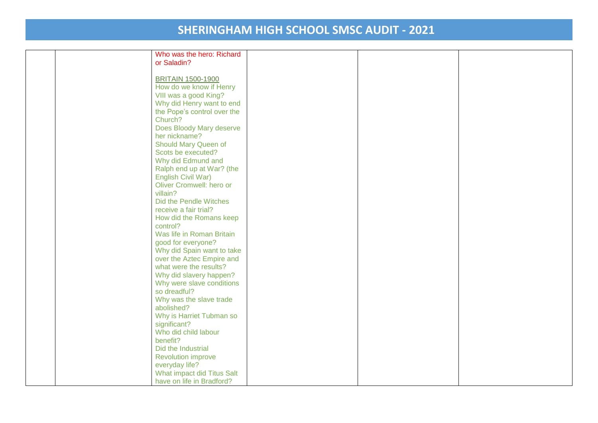| Who was the hero: Richard   |  |  |
|-----------------------------|--|--|
| or Saladin?                 |  |  |
|                             |  |  |
| <b>BRITAIN 1500-1900</b>    |  |  |
| How do we know if Henry     |  |  |
| VIII was a good King?       |  |  |
| Why did Henry want to end   |  |  |
| the Pope's control over the |  |  |
| Church?                     |  |  |
| Does Bloody Mary deserve    |  |  |
| her nickname?               |  |  |
| Should Mary Queen of        |  |  |
| Scots be executed?          |  |  |
| Why did Edmund and          |  |  |
| Ralph end up at War? (the   |  |  |
| English Civil War)          |  |  |
| Oliver Cromwell: hero or    |  |  |
| villain?                    |  |  |
|                             |  |  |
| Did the Pendle Witches      |  |  |
| receive a fair trial?       |  |  |
| How did the Romans keep     |  |  |
| control?                    |  |  |
| Was life in Roman Britain   |  |  |
| good for everyone?          |  |  |
| Why did Spain want to take  |  |  |
| over the Aztec Empire and   |  |  |
| what were the results?      |  |  |
| Why did slavery happen?     |  |  |
| Why were slave conditions   |  |  |
| so dreadful?                |  |  |
| Why was the slave trade     |  |  |
| abolished?                  |  |  |
| Why is Harriet Tubman so    |  |  |
| significant?                |  |  |
| Who did child labour        |  |  |
| benefit?                    |  |  |
| Did the Industrial          |  |  |
| <b>Revolution improve</b>   |  |  |
| everyday life?              |  |  |
| What impact did Titus Salt  |  |  |
| have on life in Bradford?   |  |  |
|                             |  |  |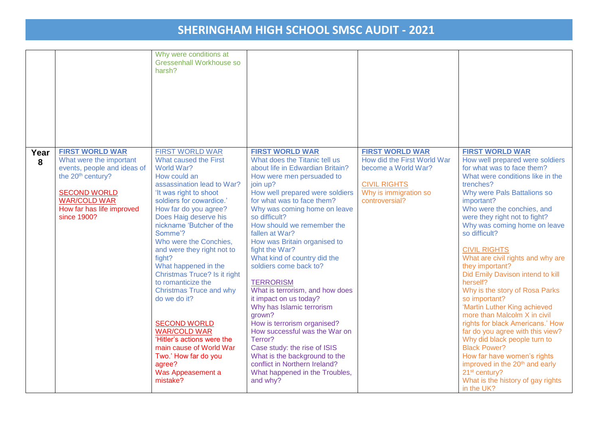|           |                                                                                                                                                                                                             | Why were conditions at<br>Gressenhall Workhouse so<br>harsh?                                                                                                                                                                                                                                                                                                                                                                                                                                                                                                                                                                           |                                                                                                                                                                                                                                                                                                                                                                                                                                                                                                                                                                                                                                                                                                                                                                       |                                                                                                                                                |                                                                                                                                                                                                                                                                                                                                                                                                                                                                                                                                                                                                                                                                                                                                                                                                                                                     |
|-----------|-------------------------------------------------------------------------------------------------------------------------------------------------------------------------------------------------------------|----------------------------------------------------------------------------------------------------------------------------------------------------------------------------------------------------------------------------------------------------------------------------------------------------------------------------------------------------------------------------------------------------------------------------------------------------------------------------------------------------------------------------------------------------------------------------------------------------------------------------------------|-----------------------------------------------------------------------------------------------------------------------------------------------------------------------------------------------------------------------------------------------------------------------------------------------------------------------------------------------------------------------------------------------------------------------------------------------------------------------------------------------------------------------------------------------------------------------------------------------------------------------------------------------------------------------------------------------------------------------------------------------------------------------|------------------------------------------------------------------------------------------------------------------------------------------------|-----------------------------------------------------------------------------------------------------------------------------------------------------------------------------------------------------------------------------------------------------------------------------------------------------------------------------------------------------------------------------------------------------------------------------------------------------------------------------------------------------------------------------------------------------------------------------------------------------------------------------------------------------------------------------------------------------------------------------------------------------------------------------------------------------------------------------------------------------|
| Year<br>8 | <b>FIRST WORLD WAR</b><br>What were the important<br>events, people and ideas of<br>the 20 <sup>th</sup> century?<br><b>SECOND WORLD</b><br><b>WAR/COLD WAR</b><br>How far has life improved<br>since 1900? | <b>FIRST WORLD WAR</b><br>What caused the First<br>World War?<br>How could an<br>assassination lead to War?<br>'It was right to shoot<br>soldiers for cowardice.'<br>How far do you agree?<br>Does Haig deserve his<br>nickname 'Butcher of the<br>Somme'?<br>Who were the Conchies,<br>and were they right not to<br>fight?<br>What happened in the<br>Christmas Truce? Is it right<br>to romanticize the<br><b>Christmas Truce and why</b><br>do we do it?<br><b>SECOND WORLD</b><br><b>WAR/COLD WAR</b><br>'Hitler's actions were the<br>main cause of World War<br>Two.' How far do you<br>agree?<br>Was Appeasement a<br>mistake? | <b>FIRST WORLD WAR</b><br>What does the Titanic tell us<br>about life in Edwardian Britain?<br>How were men persuaded to<br>join up?<br>How well prepared were soldiers<br>for what was to face them?<br>Why was coming home on leave<br>so difficult?<br>How should we remember the<br>fallen at War?<br>How was Britain organised to<br>fight the War?<br>What kind of country did the<br>soldiers come back to?<br><b>TERRORISM</b><br>What is terrorism, and how does<br>it impact on us today?<br>Why has Islamic terrorism<br>grown?<br>How is terrorism organised?<br>How successful was the War on<br>Terror?<br>Case study: the rise of ISIS<br>What is the background to the<br>conflict in Northern Ireland?<br>What happened in the Troubles,<br>and why? | <b>FIRST WORLD WAR</b><br>How did the First World War<br>become a World War?<br><b>CIVIL RIGHTS</b><br>Why is immigration so<br>controversial? | <b>FIRST WORLD WAR</b><br>How well prepared were soldiers<br>for what was to face them?<br>What were conditions like in the<br>trenches?<br>Why were Pals Battalions so<br>important?<br>Who were the conchies, and<br>were they right not to fight?<br>Why was coming home on leave<br>so difficult?<br><b>CIVIL RIGHTS</b><br>What are civil rights and why are<br>they important?<br>Did Emily Davison intend to kill<br>herself?<br>Why is the story of Rosa Parks<br>so important?<br>'Martin Luther King achieved<br>more than Malcolm X in civil<br>rights for black Americans.' How<br>far do you agree with this view?<br>Why did black people turn to<br><b>Black Power?</b><br>How far have women's rights<br>improved in the 20 <sup>th</sup> and early<br>21 <sup>st</sup> century?<br>What is the history of gay rights<br>in the UK? |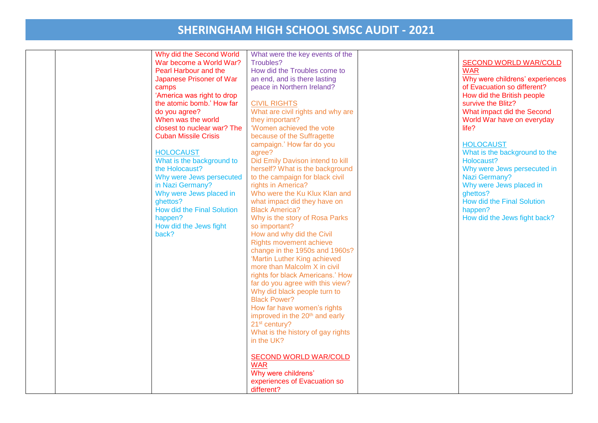|  | Why did the Second World<br>War become a World War?<br>Pearl Harbour and the<br>Japanese Prisoner of War<br>camps<br>'America was right to drop<br>the atomic bomb.' How far<br>do you agree?<br>When was the world<br>closest to nuclear war? The<br><b>Cuban Missile Crisis</b><br><b>HOLOCAUST</b><br>What is the background to<br>the Holocaust?<br>Why were Jews persecuted<br>in Nazi Germany?<br>Why were Jews placed in<br>ghettos?<br><b>How did the Final Solution</b><br>happen?<br>How did the Jews fight<br>back? | What were the key events of the<br>Troubles?<br>How did the Troubles come to<br>an end, and is there lasting<br>peace in Northern Ireland?<br><b>CIVIL RIGHTS</b><br>What are civil rights and why are<br>they important?<br>'Women achieved the vote<br>because of the Suffragette<br>campaign.' How far do you<br>agree?<br>Did Emily Davison intend to kill<br>herself? What is the background<br>to the campaign for black civil<br>rights in America?<br>Who were the Ku Klux Klan and<br>what impact did they have on<br><b>Black America?</b><br>Why is the story of Rosa Parks<br>so important?<br>How and why did the Civil<br>Rights movement achieve<br>change in the 1950s and 1960s?<br>'Martin Luther King achieved<br>more than Malcolm X in civil<br>rights for black Americans.' How<br>far do you agree with this view?<br>Why did black people turn to<br><b>Black Power?</b><br>How far have women's rights<br>improved in the 20 <sup>th</sup> and early<br>21 <sup>st</sup> century? | <b>SECOND WORLD WAR/COLD</b><br><b>WAR</b><br>Why were childrens' experiences<br>of Evacuation so different?<br>How did the British people<br>survive the Blitz?<br>What impact did the Second<br>World War have on everyday<br>life?<br><b>HOLOCAUST</b><br>What is the background to the<br>Holocaust?<br>Why were Jews persecuted in<br>Nazi Germany?<br>Why were Jews placed in<br>ghettos?<br><b>How did the Final Solution</b><br>happen?<br>How did the Jews fight back? |
|--|--------------------------------------------------------------------------------------------------------------------------------------------------------------------------------------------------------------------------------------------------------------------------------------------------------------------------------------------------------------------------------------------------------------------------------------------------------------------------------------------------------------------------------|------------------------------------------------------------------------------------------------------------------------------------------------------------------------------------------------------------------------------------------------------------------------------------------------------------------------------------------------------------------------------------------------------------------------------------------------------------------------------------------------------------------------------------------------------------------------------------------------------------------------------------------------------------------------------------------------------------------------------------------------------------------------------------------------------------------------------------------------------------------------------------------------------------------------------------------------------------------------------------------------------------|---------------------------------------------------------------------------------------------------------------------------------------------------------------------------------------------------------------------------------------------------------------------------------------------------------------------------------------------------------------------------------------------------------------------------------------------------------------------------------|
|  |                                                                                                                                                                                                                                                                                                                                                                                                                                                                                                                                | What is the history of gay rights<br>in the UK?<br><b>SECOND WORLD WAR/COLD</b><br><b>WAR</b><br>Why were childrens'<br>experiences of Evacuation so<br>different?                                                                                                                                                                                                                                                                                                                                                                                                                                                                                                                                                                                                                                                                                                                                                                                                                                         |                                                                                                                                                                                                                                                                                                                                                                                                                                                                                 |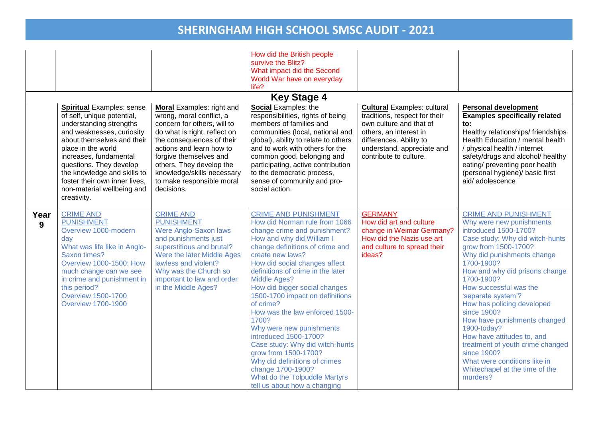|           |                                                                                                                                                                                                                                                                                                                                              |                                                                                                                                                                                                                                                                                                                     | How did the British people<br>survive the Blitz?<br>What impact did the Second<br>World War have on everyday<br>life?<br><b>Key Stage 4</b>                                                                                                                                                                                                                                                                                                                                                                                                                                                                                               |                                                                                                                                                                                                             |                                                                                                                                                                                                                                                                                                                                                                                                                                                                                                                                                    |
|-----------|----------------------------------------------------------------------------------------------------------------------------------------------------------------------------------------------------------------------------------------------------------------------------------------------------------------------------------------------|---------------------------------------------------------------------------------------------------------------------------------------------------------------------------------------------------------------------------------------------------------------------------------------------------------------------|-------------------------------------------------------------------------------------------------------------------------------------------------------------------------------------------------------------------------------------------------------------------------------------------------------------------------------------------------------------------------------------------------------------------------------------------------------------------------------------------------------------------------------------------------------------------------------------------------------------------------------------------|-------------------------------------------------------------------------------------------------------------------------------------------------------------------------------------------------------------|----------------------------------------------------------------------------------------------------------------------------------------------------------------------------------------------------------------------------------------------------------------------------------------------------------------------------------------------------------------------------------------------------------------------------------------------------------------------------------------------------------------------------------------------------|
|           | <b>Spiritual Examples: sense</b><br>of self, unique potential,<br>understanding strengths<br>and weaknesses, curiosity<br>about themselves and their<br>place in the world<br>increases, fundamental<br>questions. They develop<br>the knowledge and skills to<br>foster their own inner lives,<br>non-material wellbeing and<br>creativity. | <b>Moral</b> Examples: right and<br>wrong, moral conflict, a<br>concern for others, will to<br>do what is right, reflect on<br>the consequences of their<br>actions and learn how to<br>forgive themselves and<br>others. They develop the<br>knowledge/skills necessary<br>to make responsible moral<br>decisions. | <b>Social Examples: the</b><br>responsibilities, rights of being<br>members of families and<br>communities (local, national and<br>global), ability to relate to others<br>and to work with others for the<br>common good, belonging and<br>participating, active contribution<br>to the democratic process,<br>sense of community and pro-<br>social action.                                                                                                                                                                                                                                                                             | <b>Cultural</b> Examples: cultural<br>traditions, respect for their<br>own culture and that of<br>others, an interest in<br>differences. Ability to<br>understand, appreciate and<br>contribute to culture. | <b>Personal development</b><br><b>Examples specifically related</b><br>to:<br>Healthy relationships/ friendships<br>Health Education / mental health<br>/ physical health / internet<br>safety/drugs and alcohol/ healthy<br>eating/ preventing poor health<br>(personal hygiene)/ basic first<br>aid/adolescence                                                                                                                                                                                                                                  |
| Year<br>9 | <b>CRIME AND</b><br><b>PUNISHMENT</b><br>Overview 1000-modern<br>day<br>What was life like in Anglo-<br>Saxon times?<br><b>Overview 1000-1500: How</b><br>much change can we see<br>in crime and punishment in<br>this period?<br><b>Overview 1500-1700</b><br><b>Overview 1700-1900</b>                                                     | <b>CRIME AND</b><br><b>PUNISHMENT</b><br>Were Anglo-Saxon laws<br>and punishments just<br>superstitious and brutal?<br>Were the later Middle Ages<br>lawless and violent?<br>Why was the Church so<br>important to law and order<br>in the Middle Ages?                                                             | <b>CRIME AND PUNISHMENT</b><br>How did Norman rule from 1066<br>change crime and punishment?<br>How and why did William I<br>change definitions of crime and<br>create new laws?<br>How did social changes affect<br>definitions of crime in the later<br>Middle Ages?<br>How did bigger social changes<br>1500-1700 impact on definitions<br>of crime?<br>How was the law enforced 1500-<br>1700?<br>Why were new punishments<br>introduced 1500-1700?<br>Case study: Why did witch-hunts<br>grow from 1500-1700?<br>Why did definitions of crimes<br>change 1700-1900?<br>What do the Tolpuddle Martyrs<br>tell us about how a changing | <b>GERMANY</b><br>How did art and culture<br>change in Weimar Germany?<br>How did the Nazis use art<br>and culture to spread their<br>ideas?                                                                | <b>CRIME AND PUNISHMENT</b><br>Why were new punishments<br>introduced 1500-1700?<br>Case study: Why did witch-hunts<br>grow from 1500-1700?<br>Why did punishments change<br>1700-1900?<br>How and why did prisons change<br>1700-1900?<br>How successful was the<br>'separate system'?<br>How has policing developed<br>since 1900?<br>How have punishments changed<br>1900-today?<br>How have attitudes to, and<br>treatment of youth crime changed<br>since 1900?<br>What were conditions like in<br>Whitechapel at the time of the<br>murders? |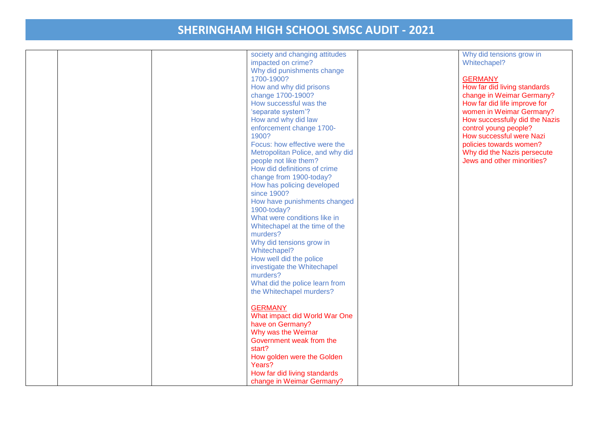| 1700-1900?<br>How and why did prisons<br>change 1700-1900?<br>How successful was the<br>'separate system'?<br>How and why did law<br>enforcement change 1700-<br>1900?<br>Focus: how effective were the<br>Metropolitan Police, and why did<br>people not like them?<br>How did definitions of crime<br>change from 1900-today?<br>How has policing developed<br>since 1900?<br>How have punishments changed<br>1900-today?<br>What were conditions like in<br>Whitechapel at the time of the<br>murders?<br>Why did tensions grow in<br>Whitechapel?<br>How well did the police<br>investigate the Whitechapel<br>murders?<br>What did the police learn from | <b>GERMANY</b><br>How far did living standards<br>change in Weimar Germany?<br>How far did life improve for<br>women in Weimar Germany?<br>How successfully did the Nazis<br>control young people?<br>How successful were Nazi<br>policies towards women?<br>Why did the Nazis persecute<br>Jews and other minorities? |
|---------------------------------------------------------------------------------------------------------------------------------------------------------------------------------------------------------------------------------------------------------------------------------------------------------------------------------------------------------------------------------------------------------------------------------------------------------------------------------------------------------------------------------------------------------------------------------------------------------------------------------------------------------------|------------------------------------------------------------------------------------------------------------------------------------------------------------------------------------------------------------------------------------------------------------------------------------------------------------------------|
| the Whitechapel murders?                                                                                                                                                                                                                                                                                                                                                                                                                                                                                                                                                                                                                                      |                                                                                                                                                                                                                                                                                                                        |
| <b>GERMANY</b><br>What impact did World War One<br>have on Germany?<br>Why was the Weimar<br>Government weak from the<br>start?<br>How golden were the Golden<br>Years?                                                                                                                                                                                                                                                                                                                                                                                                                                                                                       |                                                                                                                                                                                                                                                                                                                        |
|                                                                                                                                                                                                                                                                                                                                                                                                                                                                                                                                                                                                                                                               | How far did living standards<br>change in Weimar Germany?                                                                                                                                                                                                                                                              |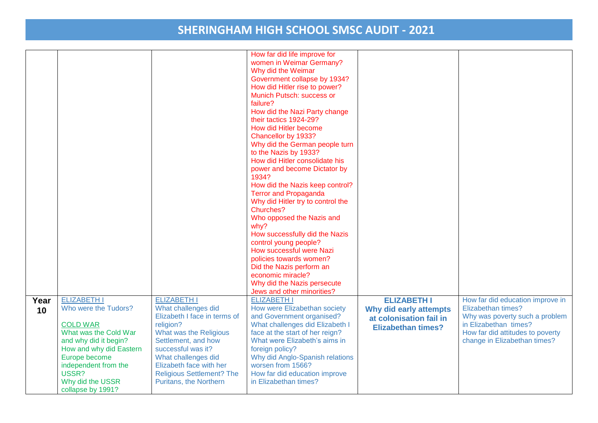|            |                                                                                                                                                                                                                                       |                                                                                                                                                                                                                                                                               | How far did life improve for<br>women in Weimar Germany?<br>Why did the Weimar<br>Government collapse by 1934?<br>How did Hitler rise to power?<br>Munich Putsch: success or<br>failure?<br>How did the Nazi Party change<br>their tactics 1924-29?<br>How did Hitler become<br>Chancellor by 1933?<br>Why did the German people turn<br>to the Nazis by 1933?<br>How did Hitler consolidate his<br>power and become Dictator by<br>1934?<br>How did the Nazis keep control?<br><b>Terror and Propaganda</b><br>Why did Hitler try to control the<br>Churches?<br>Who opposed the Nazis and<br>why?<br>How successfully did the Nazis<br>control young people?<br>How successful were Nazi<br>policies towards women?<br>Did the Nazis perform an<br>economic miracle?<br>Why did the Nazis persecute<br>Jews and other minorities? |                                                                                                      |                                                                                                                                                                                       |
|------------|---------------------------------------------------------------------------------------------------------------------------------------------------------------------------------------------------------------------------------------|-------------------------------------------------------------------------------------------------------------------------------------------------------------------------------------------------------------------------------------------------------------------------------|-------------------------------------------------------------------------------------------------------------------------------------------------------------------------------------------------------------------------------------------------------------------------------------------------------------------------------------------------------------------------------------------------------------------------------------------------------------------------------------------------------------------------------------------------------------------------------------------------------------------------------------------------------------------------------------------------------------------------------------------------------------------------------------------------------------------------------------|------------------------------------------------------------------------------------------------------|---------------------------------------------------------------------------------------------------------------------------------------------------------------------------------------|
| Year<br>10 | <b>ELIZABETH I</b><br>Who were the Tudors?<br><b>COLD WAR</b><br>What was the Cold War<br>and why did it begin?<br>How and why did Eastern<br>Europe become<br>independent from the<br>USSR?<br>Why did the USSR<br>collapse by 1991? | <b>ELIZABETH I</b><br>What challenges did<br>Elizabeth I face in terms of<br>religion?<br>What was the Religious<br>Settlement, and how<br>successful was it?<br>What challenges did<br>Elizabeth face with her<br><b>Religious Settlement? The</b><br>Puritans, the Northern | <b>ELIZABETH I</b><br>How were Elizabethan society<br>and Government organised?<br>What challenges did Elizabeth I<br>face at the start of her reign?<br>What were Elizabeth's aims in<br>foreign policy?<br>Why did Anglo-Spanish relations<br>worsen from 1566?<br>How far did education improve<br>in Elizabethan times?                                                                                                                                                                                                                                                                                                                                                                                                                                                                                                         | <b>ELIZABETH I</b><br>Why did early attempts<br>at colonisation fail in<br><b>Elizabethan times?</b> | How far did education improve in<br>Elizabethan times?<br>Why was poverty such a problem<br>in Elizabethan times?<br>How far did attitudes to poverty<br>change in Elizabethan times? |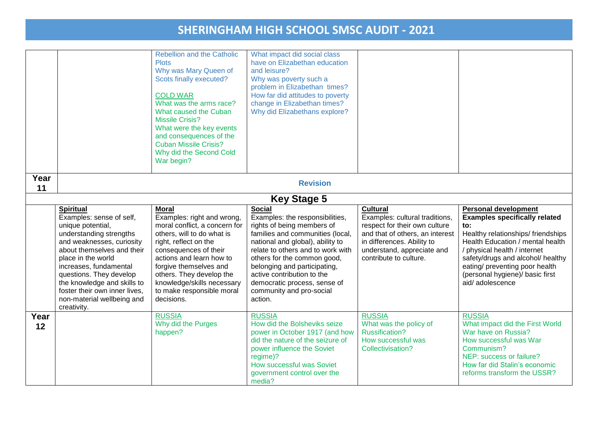|            |                                                                                                                                                                                                                                                                                                                                                 | Rebellion and the Catholic<br><b>Plots</b><br>Why was Mary Queen of<br>Scots finally executed?                                                                                                                                                                                                                         | What impact did social class<br>have on Elizabethan education<br>and leisure?<br>Why was poverty such a                                                                                                                                                                                                                                                         |                                                                                                                                                                                                             |                                                                                                                                                                                                                                                                                                                  |
|------------|-------------------------------------------------------------------------------------------------------------------------------------------------------------------------------------------------------------------------------------------------------------------------------------------------------------------------------------------------|------------------------------------------------------------------------------------------------------------------------------------------------------------------------------------------------------------------------------------------------------------------------------------------------------------------------|-----------------------------------------------------------------------------------------------------------------------------------------------------------------------------------------------------------------------------------------------------------------------------------------------------------------------------------------------------------------|-------------------------------------------------------------------------------------------------------------------------------------------------------------------------------------------------------------|------------------------------------------------------------------------------------------------------------------------------------------------------------------------------------------------------------------------------------------------------------------------------------------------------------------|
|            |                                                                                                                                                                                                                                                                                                                                                 | <b>COLD WAR</b><br>What was the arms race?<br>What caused the Cuban<br><b>Missile Crisis?</b><br>What were the key events<br>and consequences of the<br><b>Cuban Missile Crisis?</b><br>Why did the Second Cold<br>War begin?                                                                                          | problem in Elizabethan times?<br>How far did attitudes to poverty<br>change in Elizabethan times?<br>Why did Elizabethans explore?                                                                                                                                                                                                                              |                                                                                                                                                                                                             |                                                                                                                                                                                                                                                                                                                  |
| Year<br>11 |                                                                                                                                                                                                                                                                                                                                                 |                                                                                                                                                                                                                                                                                                                        | <b>Revision</b>                                                                                                                                                                                                                                                                                                                                                 |                                                                                                                                                                                                             |                                                                                                                                                                                                                                                                                                                  |
|            |                                                                                                                                                                                                                                                                                                                                                 |                                                                                                                                                                                                                                                                                                                        | <b>Key Stage 5</b>                                                                                                                                                                                                                                                                                                                                              |                                                                                                                                                                                                             |                                                                                                                                                                                                                                                                                                                  |
|            | <b>Spiritual</b><br>Examples: sense of self,<br>unique potential,<br>understanding strengths<br>and weaknesses, curiosity<br>about themselves and their<br>place in the world<br>increases, fundamental<br>questions. They develop<br>the knowledge and skills to<br>foster their own inner lives.<br>non-material wellbeing and<br>creativity. | <b>Moral</b><br>Examples: right and wrong,<br>moral conflict, a concern for<br>others, will to do what is<br>right, reflect on the<br>consequences of their<br>actions and learn how to<br>forgive themselves and<br>others. They develop the<br>knowledge/skills necessary<br>to make responsible moral<br>decisions. | <b>Social</b><br>Examples: the responsibilities,<br>rights of being members of<br>families and communities (local,<br>national and global), ability to<br>relate to others and to work with<br>others for the common good,<br>belonging and participating,<br>active contribution to the<br>democratic process, sense of<br>community and pro-social<br>action. | <b>Cultural</b><br>Examples: cultural traditions,<br>respect for their own culture<br>and that of others, an interest<br>in differences. Ability to<br>understand, appreciate and<br>contribute to culture. | <b>Personal development</b><br><b>Examples specifically related</b><br>to:<br>Healthy relationships/friendships<br>Health Education / mental health<br>/ physical health / internet<br>safety/drugs and alcohol/ healthy<br>eating/ preventing poor health<br>(personal hygiene)/ basic first<br>aid/adolescence |
| Year<br>12 |                                                                                                                                                                                                                                                                                                                                                 | <b>RUSSIA</b><br>Why did the Purges<br>happen?                                                                                                                                                                                                                                                                         | <b>RUSSIA</b><br>How did the Bolsheviks seize<br>power in October 1917 (and how<br>did the nature of the seizure of<br>power influence the Soviet<br>regime)?<br>How successful was Soviet<br>government control over the<br>media?                                                                                                                             | <b>RUSSIA</b><br>What was the policy of<br><b>Russification?</b><br>How successful was<br>Collectivisation?                                                                                                 | <b>RUSSIA</b><br>What impact did the First World<br>War have on Russia?<br>How successful was War<br>Communism?<br>NEP: success or failure?<br>How far did Stalin's economic<br>reforms transform the USSR?                                                                                                      |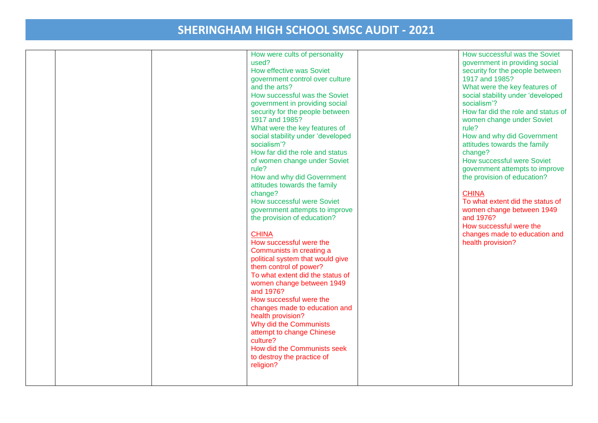| What were the key features of<br>social stability under 'developed<br>socialism'?<br>How far did the role and status<br>of women change under Soviet<br>rule?<br>How and why did Government<br>attitudes towards the family<br>change?<br>How successful were Soviet<br>government attempts to improve<br>the provision of education?<br><b>CHINA</b><br>How successful were the | rule?<br>How and why did Government<br>attitudes towards the family<br>change?<br>How successful were Soviet<br>government attempts to improve<br>the provision of education?<br><b>CHINA</b><br>To what extent did the status of<br>women change between 1949<br>and 1976?<br>How successful were the<br>changes made to education and<br>health provision? |
|----------------------------------------------------------------------------------------------------------------------------------------------------------------------------------------------------------------------------------------------------------------------------------------------------------------------------------------------------------------------------------|--------------------------------------------------------------------------------------------------------------------------------------------------------------------------------------------------------------------------------------------------------------------------------------------------------------------------------------------------------------|
|                                                                                                                                                                                                                                                                                                                                                                                  |                                                                                                                                                                                                                                                                                                                                                              |
|                                                                                                                                                                                                                                                                                                                                                                                  |                                                                                                                                                                                                                                                                                                                                                              |
|                                                                                                                                                                                                                                                                                                                                                                                  |                                                                                                                                                                                                                                                                                                                                                              |
|                                                                                                                                                                                                                                                                                                                                                                                  |                                                                                                                                                                                                                                                                                                                                                              |
|                                                                                                                                                                                                                                                                                                                                                                                  |                                                                                                                                                                                                                                                                                                                                                              |
|                                                                                                                                                                                                                                                                                                                                                                                  |                                                                                                                                                                                                                                                                                                                                                              |
| Communists in creating a<br>political system that would give                                                                                                                                                                                                                                                                                                                     |                                                                                                                                                                                                                                                                                                                                                              |
| them control of power?<br>To what extent did the status of                                                                                                                                                                                                                                                                                                                       |                                                                                                                                                                                                                                                                                                                                                              |
| women change between 1949<br>and 1976?                                                                                                                                                                                                                                                                                                                                           |                                                                                                                                                                                                                                                                                                                                                              |
| How successful were the<br>changes made to education and                                                                                                                                                                                                                                                                                                                         |                                                                                                                                                                                                                                                                                                                                                              |
| health provision?<br>Why did the Communists                                                                                                                                                                                                                                                                                                                                      |                                                                                                                                                                                                                                                                                                                                                              |
| attempt to change Chinese<br>culture?<br>How did the Communists seek                                                                                                                                                                                                                                                                                                             |                                                                                                                                                                                                                                                                                                                                                              |
| to destroy the practice of<br>religion?                                                                                                                                                                                                                                                                                                                                          |                                                                                                                                                                                                                                                                                                                                                              |